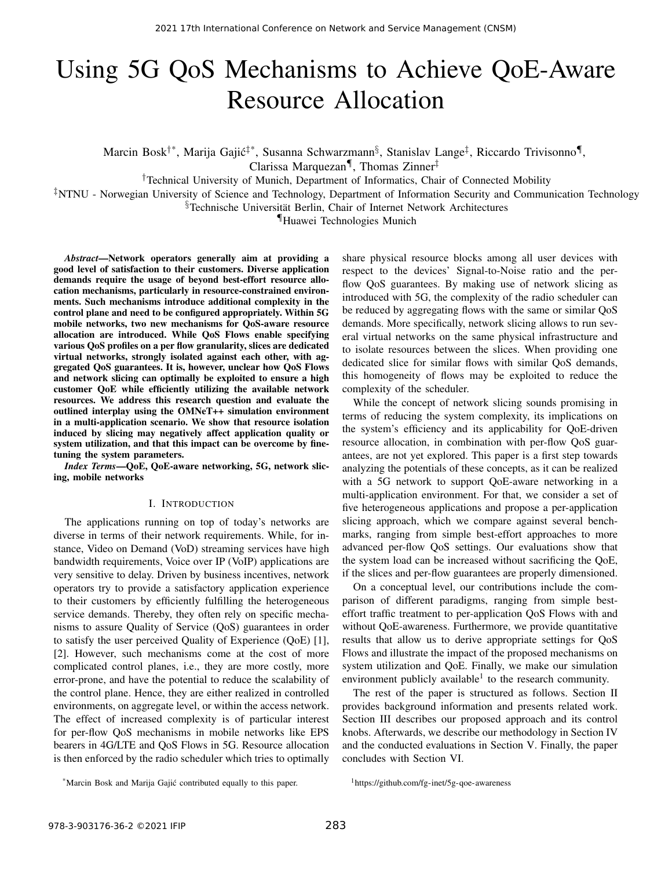# Using 5G QoS Mechanisms to Achieve QoE-Aware Resource Allocation

Marcin Bosk<sup>†\*</sup>, Marija Gajić<sup>‡\*</sup>, Susanna Schwarzmann<sup>§</sup>, Stanislav Lange<sup>‡</sup>, Riccardo Trivisonno¶, Clarissa Marquezan¶ , Thomas Zinner‡

†Technical University of Munich, Department of Informatics, Chair of Connected Mobility

‡NTNU - Norwegian University of Science and Technology, Department of Information Security and Communication Technology

§Technische Universität Berlin, Chair of Internet Network Architectures

¶Huawei Technologies Munich

*Abstract*—Network operators generally aim at providing a good level of satisfaction to their customers. Diverse application demands require the usage of beyond best-effort resource allocation mechanisms, particularly in resource-constrained environments. Such mechanisms introduce additional complexity in the control plane and need to be configured appropriately. Within 5G mobile networks, two new mechanisms for QoS-aware resource allocation are introduced. While QoS Flows enable specifying various QoS profiles on a per flow granularity, slices are dedicated virtual networks, strongly isolated against each other, with aggregated QoS guarantees. It is, however, unclear how QoS Flows and network slicing can optimally be exploited to ensure a high customer QoE while efficiently utilizing the available network resources. We address this research question and evaluate the outlined interplay using the OMNeT++ simulation environment in a multi-application scenario. We show that resource isolation induced by slicing may negatively affect application quality or system utilization, and that this impact can be overcome by finetuning the system parameters.

*Index Terms*—QoE, QoE-aware networking, 5G, network slicing, mobile networks

#### I. INTRODUCTION

The applications running on top of today's networks are diverse in terms of their network requirements. While, for instance, Video on Demand (VoD) streaming services have high bandwidth requirements, Voice over IP (VoIP) applications are very sensitive to delay. Driven by business incentives, network operators try to provide a satisfactory application experience to their customers by efficiently fulfilling the heterogeneous service demands. Thereby, they often rely on specific mechanisms to assure Quality of Service (QoS) guarantees in order to satisfy the user perceived Quality of Experience (QoE) [1], [2]. However, such mechanisms come at the cost of more complicated control planes, i.e., they are more costly, more error-prone, and have the potential to reduce the scalability of the control plane. Hence, they are either realized in controlled environments, on aggregate level, or within the access network. The effect of increased complexity is of particular interest for per-flow QoS mechanisms in mobile networks like EPS bearers in 4G/LTE and QoS Flows in 5G. Resource allocation is then enforced by the radio scheduler which tries to optimally

share physical resource blocks among all user devices with respect to the devices' Signal-to-Noise ratio and the perflow QoS guarantees. By making use of network slicing as introduced with 5G, the complexity of the radio scheduler can be reduced by aggregating flows with the same or similar QoS demands. More specifically, network slicing allows to run several virtual networks on the same physical infrastructure and to isolate resources between the slices. When providing one dedicated slice for similar flows with similar QoS demands, this homogeneity of flows may be exploited to reduce the complexity of the scheduler.

While the concept of network slicing sounds promising in terms of reducing the system complexity, its implications on the system's efficiency and its applicability for QoE-driven resource allocation, in combination with per-flow QoS guarantees, are not yet explored. This paper is a first step towards analyzing the potentials of these concepts, as it can be realized with a 5G network to support QoE-aware networking in a multi-application environment. For that, we consider a set of five heterogeneous applications and propose a per-application slicing approach, which we compare against several benchmarks, ranging from simple best-effort approaches to more advanced per-flow QoS settings. Our evaluations show that the system load can be increased without sacrificing the QoE, if the slices and per-flow guarantees are properly dimensioned.

On a conceptual level, our contributions include the comparison of different paradigms, ranging from simple besteffort traffic treatment to per-application QoS Flows with and without QoE-awareness. Furthermore, we provide quantitative results that allow us to derive appropriate settings for QoS Flows and illustrate the impact of the proposed mechanisms on system utilization and QoE. Finally, we make our simulation environment publicly available<sup>1</sup> to the research community.

The rest of the paper is structured as follows. Section II provides background information and presents related work. Section III describes our proposed approach and its control knobs. Afterwards, we describe our methodology in Section IV and the conducted evaluations in Section V. Finally, the paper concludes with Section VI.

<sup>\*</sup>Marcin Bosk and Marija Gajic contributed equally to this paper. ´

<sup>1</sup>https://github.com/fg-inet/5g-qoe-awareness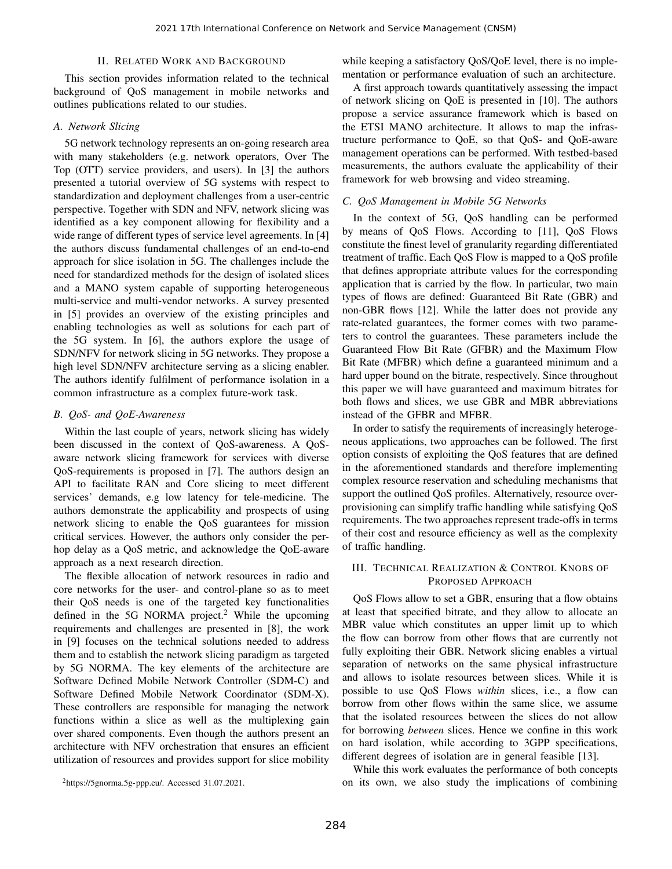## II. RELATED WORK AND BACKGROUND

This section provides information related to the technical background of QoS management in mobile networks and outlines publications related to our studies.

#### *A. Network Slicing*

5G network technology represents an on-going research area with many stakeholders (e.g. network operators, Over The Top (OTT) service providers, and users). In [3] the authors presented a tutorial overview of 5G systems with respect to standardization and deployment challenges from a user-centric perspective. Together with SDN and NFV, network slicing was identified as a key component allowing for flexibility and a wide range of different types of service level agreements. In [4] the authors discuss fundamental challenges of an end-to-end approach for slice isolation in 5G. The challenges include the need for standardized methods for the design of isolated slices and a MANO system capable of supporting heterogeneous multi-service and multi-vendor networks. A survey presented in [5] provides an overview of the existing principles and enabling technologies as well as solutions for each part of the 5G system. In [6], the authors explore the usage of SDN/NFV for network slicing in 5G networks. They propose a high level SDN/NFV architecture serving as a slicing enabler. The authors identify fulfilment of performance isolation in a common infrastructure as a complex future-work task.

## *B. QoS- and QoE-Awareness*

Within the last couple of years, network slicing has widely been discussed in the context of QoS-awareness. A QoSaware network slicing framework for services with diverse QoS-requirements is proposed in [7]. The authors design an API to facilitate RAN and Core slicing to meet different services' demands, e.g low latency for tele-medicine. The authors demonstrate the applicability and prospects of using network slicing to enable the QoS guarantees for mission critical services. However, the authors only consider the perhop delay as a QoS metric, and acknowledge the QoE-aware approach as a next research direction.

The flexible allocation of network resources in radio and core networks for the user- and control-plane so as to meet their QoS needs is one of the targeted key functionalities defined in the 5G NORMA project.<sup>2</sup> While the upcoming requirements and challenges are presented in [8], the work in [9] focuses on the technical solutions needed to address them and to establish the network slicing paradigm as targeted by 5G NORMA. The key elements of the architecture are Software Defined Mobile Network Controller (SDM-C) and Software Defined Mobile Network Coordinator (SDM-X). These controllers are responsible for managing the network functions within a slice as well as the multiplexing gain over shared components. Even though the authors present an architecture with NFV orchestration that ensures an efficient utilization of resources and provides support for slice mobility

while keeping a satisfactory QoS/QoE level, there is no implementation or performance evaluation of such an architecture.

A first approach towards quantitatively assessing the impact of network slicing on QoE is presented in [10]. The authors propose a service assurance framework which is based on the ETSI MANO architecture. It allows to map the infrastructure performance to QoE, so that QoS- and QoE-aware management operations can be performed. With testbed-based measurements, the authors evaluate the applicability of their framework for web browsing and video streaming.

#### *C. QoS Management in Mobile 5G Networks*

In the context of 5G, QoS handling can be performed by means of QoS Flows. According to [11], QoS Flows constitute the finest level of granularity regarding differentiated treatment of traffic. Each QoS Flow is mapped to a QoS profile that defines appropriate attribute values for the corresponding application that is carried by the flow. In particular, two main types of flows are defined: Guaranteed Bit Rate (GBR) and non-GBR flows [12]. While the latter does not provide any rate-related guarantees, the former comes with two parameters to control the guarantees. These parameters include the Guaranteed Flow Bit Rate (GFBR) and the Maximum Flow Bit Rate (MFBR) which define a guaranteed minimum and a hard upper bound on the bitrate, respectively. Since throughout this paper we will have guaranteed and maximum bitrates for both flows and slices, we use GBR and MBR abbreviations instead of the GFBR and MFBR.

In order to satisfy the requirements of increasingly heterogeneous applications, two approaches can be followed. The first option consists of exploiting the QoS features that are defined in the aforementioned standards and therefore implementing complex resource reservation and scheduling mechanisms that support the outlined QoS profiles. Alternatively, resource overprovisioning can simplify traffic handling while satisfying QoS requirements. The two approaches represent trade-offs in terms of their cost and resource efficiency as well as the complexity of traffic handling.

## III. TECHNICAL REALIZATION & CONTROL KNOBS OF PROPOSED APPROACH

QoS Flows allow to set a GBR, ensuring that a flow obtains at least that specified bitrate, and they allow to allocate an MBR value which constitutes an upper limit up to which the flow can borrow from other flows that are currently not fully exploiting their GBR. Network slicing enables a virtual separation of networks on the same physical infrastructure and allows to isolate resources between slices. While it is possible to use QoS Flows *within* slices, i.e., a flow can borrow from other flows within the same slice, we assume that the isolated resources between the slices do not allow for borrowing *between* slices. Hence we confine in this work on hard isolation, while according to 3GPP specifications, different degrees of isolation are in general feasible [13].

While this work evaluates the performance of both concepts on its own, we also study the implications of combining

 ${}^{2}$ https://5gnorma.5g-ppp.eu/. Accessed 31.07.2021.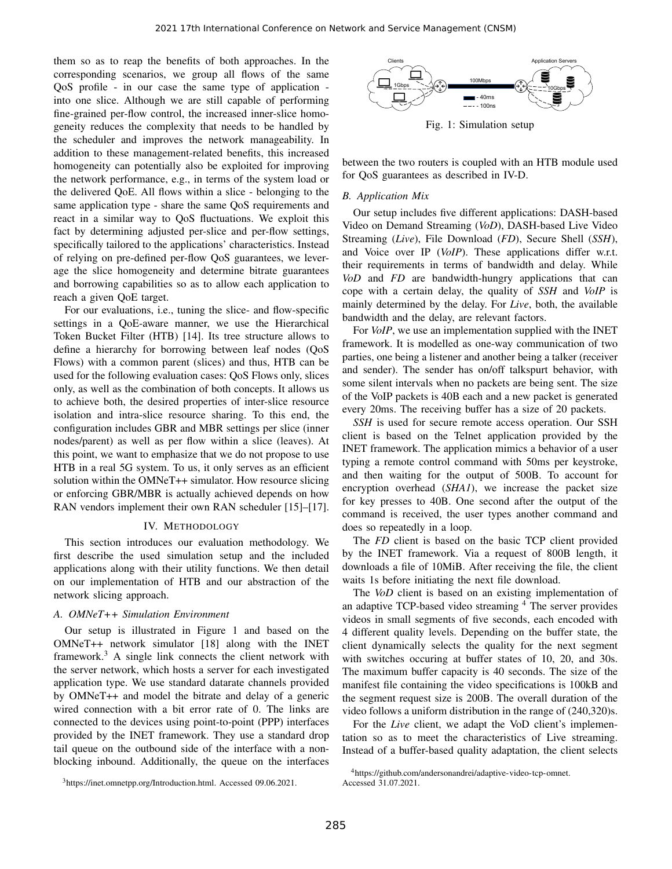them so as to reap the benefits of both approaches. In the corresponding scenarios, we group all flows of the same QoS profile - in our case the same type of application into one slice. Although we are still capable of performing fine-grained per-flow control, the increased inner-slice homogeneity reduces the complexity that needs to be handled by the scheduler and improves the network manageability. In addition to these management-related benefits, this increased homogeneity can potentially also be exploited for improving the network performance, e.g., in terms of the system load or the delivered QoE. All flows within a slice - belonging to the same application type - share the same QoS requirements and react in a similar way to QoS fluctuations. We exploit this fact by determining adjusted per-slice and per-flow settings, specifically tailored to the applications' characteristics. Instead of relying on pre-defined per-flow QoS guarantees, we leverage the slice homogeneity and determine bitrate guarantees and borrowing capabilities so as to allow each application to reach a given QoE target.

For our evaluations, i.e., tuning the slice- and flow-specific settings in a QoE-aware manner, we use the Hierarchical Token Bucket Filter (HTB) [14]. Its tree structure allows to define a hierarchy for borrowing between leaf nodes (QoS Flows) with a common parent (slices) and thus, HTB can be used for the following evaluation cases: QoS Flows only, slices only, as well as the combination of both concepts. It allows us to achieve both, the desired properties of inter-slice resource isolation and intra-slice resource sharing. To this end, the configuration includes GBR and MBR settings per slice (inner nodes/parent) as well as per flow within a slice (leaves). At this point, we want to emphasize that we do not propose to use HTB in a real 5G system. To us, it only serves as an efficient solution within the OMNeT++ simulator. How resource slicing or enforcing GBR/MBR is actually achieved depends on how RAN vendors implement their own RAN scheduler [15]–[17].

#### IV. METHODOLOGY

This section introduces our evaluation methodology. We first describe the used simulation setup and the included applications along with their utility functions. We then detail on our implementation of HTB and our abstraction of the network slicing approach.

## *A. OMNeT++ Simulation Environment*

Our setup is illustrated in Figure 1 and based on the OMNeT++ network simulator [18] along with the INET framework. $3$  A single link connects the client network with the server network, which hosts a server for each investigated application type. We use standard datarate channels provided by OMNeT++ and model the bitrate and delay of a generic wired connection with a bit error rate of 0. The links are connected to the devices using point-to-point (PPP) interfaces provided by the INET framework. They use a standard drop tail queue on the outbound side of the interface with a nonblocking inbound. Additionally, the queue on the interfaces



Fig. 1: Simulation setup

between the two routers is coupled with an HTB module used for QoS guarantees as described in IV-D.

#### *B. Application Mix*

Our setup includes five different applications: DASH-based Video on Demand Streaming (*VoD*), DASH-based Live Video Streaming (*Live*), File Download (*FD*), Secure Shell (*SSH*), and Voice over IP (*VoIP*). These applications differ w.r.t. their requirements in terms of bandwidth and delay. While *VoD* and *FD* are bandwidth-hungry applications that can cope with a certain delay, the quality of *SSH* and *VoIP* is mainly determined by the delay. For *Live*, both, the available bandwidth and the delay, are relevant factors.

For *VoIP*, we use an implementation supplied with the INET framework. It is modelled as one-way communication of two parties, one being a listener and another being a talker (receiver and sender). The sender has on/off talkspurt behavior, with some silent intervals when no packets are being sent. The size of the VoIP packets is 40B each and a new packet is generated every 20ms. The receiving buffer has a size of 20 packets.

*SSH* is used for secure remote access operation. Our SSH client is based on the Telnet application provided by the INET framework. The application mimics a behavior of a user typing a remote control command with 50ms per keystroke, and then waiting for the output of 500B. To account for encryption overhead (*SHA1*), we increase the packet size for key presses to 40B. One second after the output of the command is received, the user types another command and does so repeatedly in a loop.

The *FD* client is based on the basic TCP client provided by the INET framework. Via a request of 800B length, it downloads a file of 10MiB. After receiving the file, the client waits 1s before initiating the next file download.

The *VoD* client is based on an existing implementation of an adaptive TCP-based video streaming <sup>4</sup> The server provides videos in small segments of five seconds, each encoded with 4 different quality levels. Depending on the buffer state, the client dynamically selects the quality for the next segment with switches occuring at buffer states of 10, 20, and 30s. The maximum buffer capacity is 40 seconds. The size of the manifest file containing the video specifications is 100kB and the segment request size is 200B. The overall duration of the video follows a uniform distribution in the range of (240,320)s.

For the *Live* client, we adapt the VoD client's implementation so as to meet the characteristics of Live streaming. Instead of a buffer-based quality adaptation, the client selects

<sup>3</sup>https://inet.omnetpp.org/Introduction.html. Accessed 09.06.2021.

<sup>4</sup>https://github.com/andersonandrei/adaptive-video-tcp-omnet. Accessed 31.07.2021.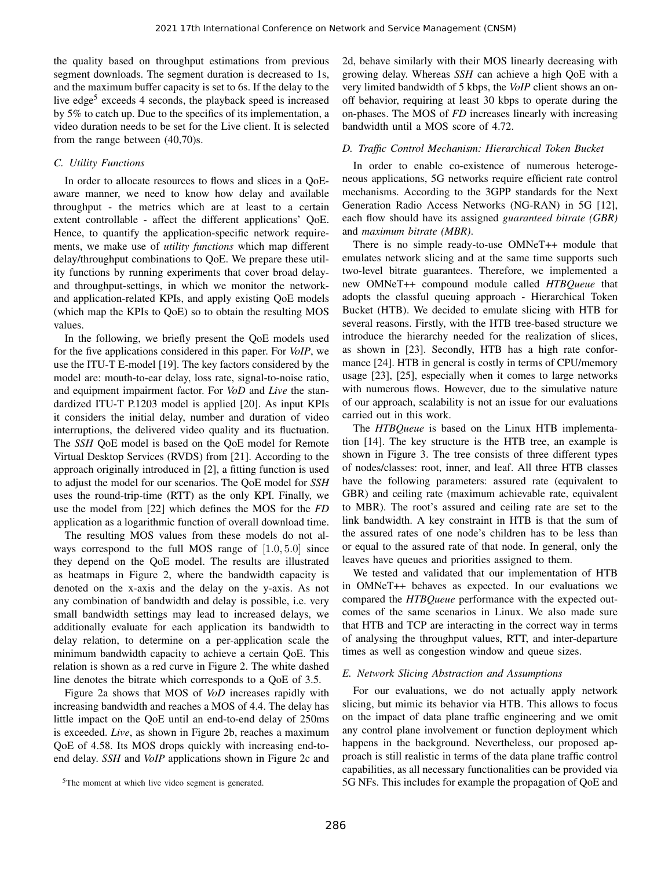the quality based on throughput estimations from previous segment downloads. The segment duration is decreased to 1s, and the maximum buffer capacity is set to 6s. If the delay to the live edge<sup>5</sup> exceeds 4 seconds, the playback speed is increased by 5% to catch up. Due to the specifics of its implementation, a video duration needs to be set for the Live client. It is selected from the range between (40,70)s.

## *C. Utility Functions*

In order to allocate resources to flows and slices in a QoEaware manner, we need to know how delay and available throughput - the metrics which are at least to a certain extent controllable - affect the different applications' QoE. Hence, to quantify the application-specific network requirements, we make use of *utility functions* which map different delay/throughput combinations to QoE. We prepare these utility functions by running experiments that cover broad delayand throughput-settings, in which we monitor the networkand application-related KPIs, and apply existing QoE models (which map the KPIs to QoE) so to obtain the resulting MOS values.

In the following, we briefly present the QoE models used for the five applications considered in this paper. For *VoIP*, we use the ITU-T E-model [19]. The key factors considered by the model are: mouth-to-ear delay, loss rate, signal-to-noise ratio, and equipment impairment factor. For *VoD* and *Live* the standardized ITU-T P.1203 model is applied [20]. As input KPIs it considers the initial delay, number and duration of video interruptions, the delivered video quality and its fluctuation. The *SSH* QoE model is based on the QoE model for Remote Virtual Desktop Services (RVDS) from [21]. According to the approach originally introduced in [2], a fitting function is used to adjust the model for our scenarios. The QoE model for *SSH* uses the round-trip-time (RTT) as the only KPI. Finally, we use the model from [22] which defines the MOS for the *FD* application as a logarithmic function of overall download time.

The resulting MOS values from these models do not always correspond to the full MOS range of  $[1.0, 5.0]$  since they depend on the QoE model. The results are illustrated as heatmaps in Figure 2, where the bandwidth capacity is denoted on the x-axis and the delay on the y-axis. As not any combination of bandwidth and delay is possible, i.e. very small bandwidth settings may lead to increased delays, we additionally evaluate for each application its bandwidth to delay relation, to determine on a per-application scale the minimum bandwidth capacity to achieve a certain QoE. This relation is shown as a red curve in Figure 2. The white dashed line denotes the bitrate which corresponds to a QoE of 3.5.

Figure 2a shows that MOS of *VoD* increases rapidly with increasing bandwidth and reaches a MOS of 4.4. The delay has little impact on the QoE until an end-to-end delay of 250ms is exceeded. *Live*, as shown in Figure 2b, reaches a maximum QoE of 4.58. Its MOS drops quickly with increasing end-toend delay. *SSH* and *VoIP* applications shown in Figure 2c and 2d, behave similarly with their MOS linearly decreasing with growing delay. Whereas *SSH* can achieve a high QoE with a very limited bandwidth of 5 kbps, the *VoIP* client shows an onoff behavior, requiring at least 30 kbps to operate during the on-phases. The MOS of *FD* increases linearly with increasing bandwidth until a MOS score of 4.72.

#### *D. Traffic Control Mechanism: Hierarchical Token Bucket*

In order to enable co-existence of numerous heterogeneous applications, 5G networks require efficient rate control mechanisms. According to the 3GPP standards for the Next Generation Radio Access Networks (NG-RAN) in 5G [12], each flow should have its assigned *guaranteed bitrate (GBR)* and *maximum bitrate (MBR)*.

There is no simple ready-to-use OMNeT++ module that emulates network slicing and at the same time supports such two-level bitrate guarantees. Therefore, we implemented a new OMNeT++ compound module called *HTBQueue* that adopts the classful queuing approach - Hierarchical Token Bucket (HTB). We decided to emulate slicing with HTB for several reasons. Firstly, with the HTB tree-based structure we introduce the hierarchy needed for the realization of slices, as shown in [23]. Secondly, HTB has a high rate conformance [24]. HTB in general is costly in terms of CPU/memory usage [23], [25], especially when it comes to large networks with numerous flows. However, due to the simulative nature of our approach, scalability is not an issue for our evaluations carried out in this work.

The *HTBQueue* is based on the Linux HTB implementation [14]. The key structure is the HTB tree, an example is shown in Figure 3. The tree consists of three different types of nodes/classes: root, inner, and leaf. All three HTB classes have the following parameters: assured rate (equivalent to GBR) and ceiling rate (maximum achievable rate, equivalent to MBR). The root's assured and ceiling rate are set to the link bandwidth. A key constraint in HTB is that the sum of the assured rates of one node's children has to be less than or equal to the assured rate of that node. In general, only the leaves have queues and priorities assigned to them.

We tested and validated that our implementation of HTB in OMNeT++ behaves as expected. In our evaluations we compared the *HTBQueue* performance with the expected outcomes of the same scenarios in Linux. We also made sure that HTB and TCP are interacting in the correct way in terms of analysing the throughput values, RTT, and inter-departure times as well as congestion window and queue sizes.

#### *E. Network Slicing Abstraction and Assumptions*

For our evaluations, we do not actually apply network slicing, but mimic its behavior via HTB. This allows to focus on the impact of data plane traffic engineering and we omit any control plane involvement or function deployment which happens in the background. Nevertheless, our proposed approach is still realistic in terms of the data plane traffic control capabilities, as all necessary functionalities can be provided via 5G NFs. This includes for example the propagation of QoE and

<sup>&</sup>lt;sup>5</sup>The moment at which live video segment is generated.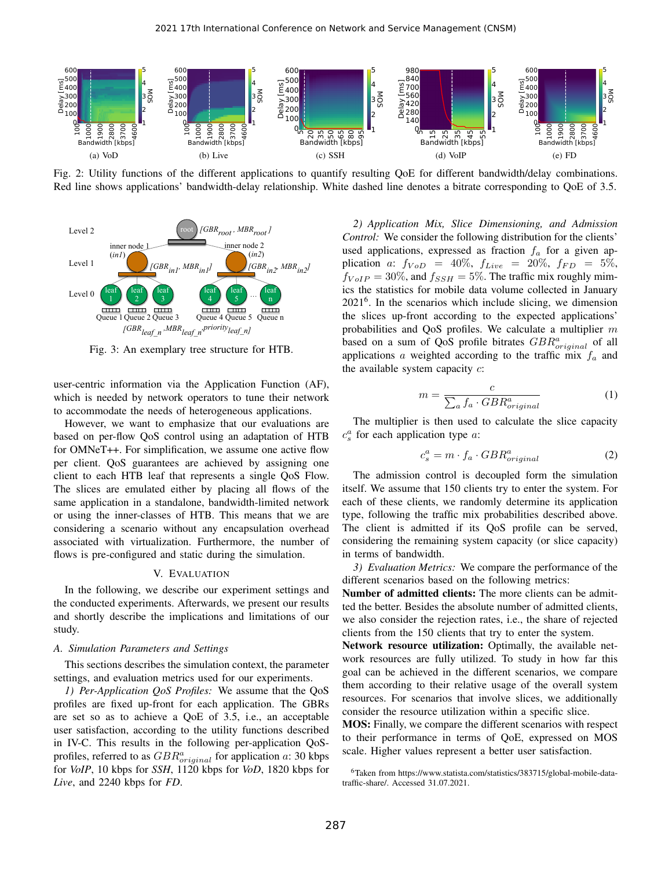

Fig. 2: Utility functions of the different applications to quantify resulting QoE for different bandwidth/delay combinations. Red line shows applications' bandwidth-delay relationship. White dashed line denotes a bitrate corresponding to QoE of 3.5.



Fig. 3: An exemplary tree structure for HTB.

user-centric information via the Application Function (AF), which is needed by network operators to tune their network to accommodate the needs of heterogeneous applications.

However, we want to emphasize that our evaluations are based on per-flow QoS control using an adaptation of HTB for OMNeT++. For simplification, we assume one active flow per client. QoS guarantees are achieved by assigning one client to each HTB leaf that represents a single QoS Flow. The slices are emulated either by placing all flows of the same application in a standalone, bandwidth-limited network or using the inner-classes of HTB. This means that we are considering a scenario without any encapsulation overhead associated with virtualization. Furthermore, the number of flows is pre-configured and static during the simulation.

## V. EVALUATION

In the following, we describe our experiment settings and the conducted experiments. Afterwards, we present our results and shortly describe the implications and limitations of our study.

#### *A. Simulation Parameters and Settings*

This sections describes the simulation context, the parameter settings, and evaluation metrics used for our experiments.

*1) Per-Application QoS Profiles:* We assume that the QoS profiles are fixed up-front for each application. The GBRs are set so as to achieve a QoE of 3.5, i.e., an acceptable user satisfaction, according to the utility functions described in IV-C. This results in the following per-application QoSprofiles, referred to as  $GBR^a_{original}$  for application a: 30 kbps for *VoIP*, 10 kbps for *SSH*, 1120 kbps for *VoD*, 1820 kbps for *Live*, and 2240 kbps for *FD*.

*2) Application Mix, Slice Dimensioning, and Admission Control:* We consider the following distribution for the clients' used applications, expressed as fraction  $f_a$  for a given application a:  $f_{VoD}$  = 40%,  $f_{Live}$  = 20%,  $f_{FD}$  = 5%,  $f_{VoIP} = 30\%$ , and  $f_{SSH} = 5\%$ . The traffic mix roughly mimics the statistics for mobile data volume collected in January 2021<sup>6</sup> . In the scenarios which include slicing, we dimension the slices up-front according to the expected applications' probabilities and QoS profiles. We calculate a multiplier  $m$ based on a sum of QoS profile bitrates  $GBR^a_{original}$  of all applications  $\alpha$  weighted according to the traffic mix  $f_{\alpha}$  and the available system capacity  $c$ :

$$
m = \frac{c}{\sum_{a} f_a \cdot GBR_{original}^{a}}
$$
 (1)

The multiplier is then used to calculate the slice capacity  $c_s^a$  for each application type  $a$ :

$$
c_s^a = m \cdot f_a \cdot GBR_{original}^a \tag{2}
$$

The admission control is decoupled form the simulation itself. We assume that 150 clients try to enter the system. For each of these clients, we randomly determine its application type, following the traffic mix probabilities described above. The client is admitted if its QoS profile can be served, considering the remaining system capacity (or slice capacity) in terms of bandwidth.

*3) Evaluation Metrics:* We compare the performance of the different scenarios based on the following metrics:

Number of admitted clients: The more clients can be admitted the better. Besides the absolute number of admitted clients, we also consider the rejection rates, i.e., the share of rejected clients from the 150 clients that try to enter the system.

Network resource utilization: Optimally, the available network resources are fully utilized. To study in how far this goal can be achieved in the different scenarios, we compare them according to their relative usage of the overall system resources. For scenarios that involve slices, we additionally consider the resource utilization within a specific slice.

MOS: Finally, we compare the different scenarios with respect to their performance in terms of QoE, expressed on MOS scale. Higher values represent a better user satisfaction.

<sup>6</sup>Taken from https://www.statista.com/statistics/383715/global-mobile-datatraffic-share/. Accessed 31.07.2021.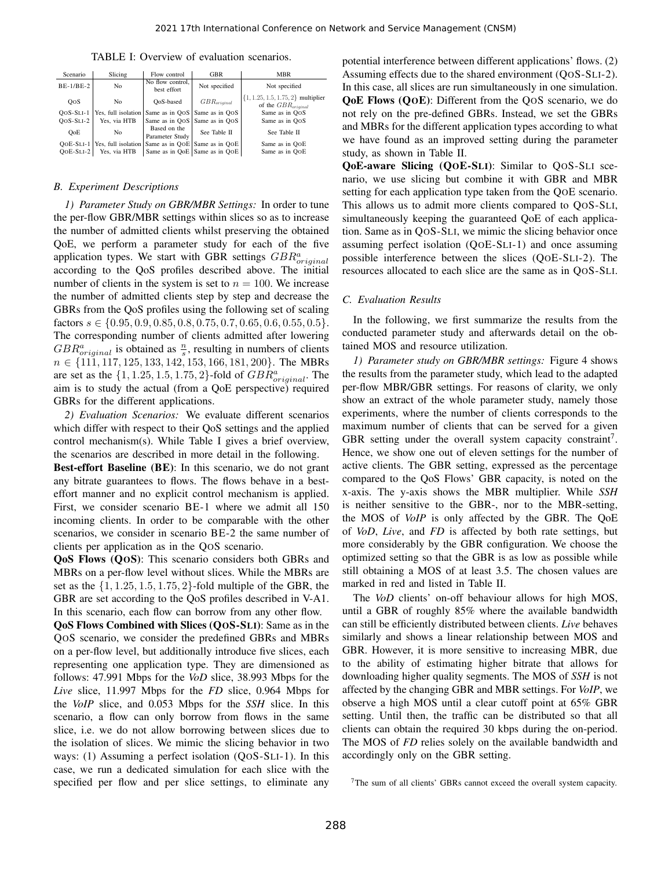| TABLE I: Overview of evaluation scenarios. |  |  |  |
|--------------------------------------------|--|--|--|
|--------------------------------------------|--|--|--|

| Scenario    | Slicing             | Flow control                    | <b>GBR</b>                      | MBR                                                               |
|-------------|---------------------|---------------------------------|---------------------------------|-------------------------------------------------------------------|
| $BE-1/BE-2$ | No                  | No flow control.<br>best effort | Not specified                   | Not specified                                                     |
| <b>OOS</b>  | No                  | QoS-based                       | $GBR_{original}$                | $\{1, 1.25, 1.5, 1.75, 2\}$ multiplier<br>of the $GBR_{original}$ |
| $QoS-SLI-1$ | Yes, full isolation |                                 | Same as in QOS   Same as in QOS | Same as in OoS                                                    |
| $OOS-SLI-2$ | Yes. via HTB        |                                 | Same as in OOS Same as in OOS   | Same as in OoS                                                    |
| OoE         | No                  | Based on the<br>Parameter Study | See Table II                    | See Table II                                                      |
| $OOE-SLI-1$ | Yes, full isolation |                                 | Same as in OOE Same as in OOE   | Same as in OOE                                                    |
| $OOE-SLI-2$ | Yes. via HTB        |                                 | Same as in QoE   Same as in QOE | Same as in OOE                                                    |

#### *B. Experiment Descriptions*

*1) Parameter Study on GBR/MBR Settings:* In order to tune the per-flow GBR/MBR settings within slices so as to increase the number of admitted clients whilst preserving the obtained QoE, we perform a parameter study for each of the five application types. We start with GBR settings  $GBR^a_{original}$ according to the QoS profiles described above. The initial number of clients in the system is set to  $n = 100$ . We increase the number of admitted clients step by step and decrease the GBRs from the QoS profiles using the following set of scaling factors  $s \in \{0.95, 0.9, 0.85, 0.8, 0.75, 0.7, 0.65, 0.6, 0.55, 0.5\}.$ The corresponding number of clients admitted after lowering  $GBR^a_{original}$  is obtained as  $\frac{n}{s}$ , resulting in numbers of clients  $n \in \{111, 117, 125, 133, 142, 153, 166, 181, 200\}$ . The MBRs are set as the  $\{1, 1.25, 1.5, 1.75, 2\}$ -fold of  $GBR^a_{original}$ . The aim is to study the actual (from a QoE perspective) required GBRs for the different applications.

*2) Evaluation Scenarios:* We evaluate different scenarios which differ with respect to their QoS settings and the applied control mechanism(s). While Table I gives a brief overview, the scenarios are described in more detail in the following.

Best-effort Baseline (BE): In this scenario, we do not grant any bitrate guarantees to flows. The flows behave in a besteffort manner and no explicit control mechanism is applied. First, we consider scenario BE-1 where we admit all 150 incoming clients. In order to be comparable with the other scenarios, we consider in scenario BE-2 the same number of clients per application as in the QOS scenario.

QoS Flows (QOS): This scenario considers both GBRs and MBRs on a per-flow level without slices. While the MBRs are set as the  $\{1, 1.25, 1.5, 1.75, 2\}$ -fold multiple of the GBR, the GBR are set according to the QoS profiles described in V-A1. In this scenario, each flow can borrow from any other flow.

QoS Flows Combined with Slices (QOS-SLI): Same as in the QOS scenario, we consider the predefined GBRs and MBRs on a per-flow level, but additionally introduce five slices, each representing one application type. They are dimensioned as follows: 47.991 Mbps for the *VoD* slice, 38.993 Mbps for the *Live* slice, 11.997 Mbps for the *FD* slice, 0.964 Mbps for the *VoIP* slice, and 0.053 Mbps for the *SSH* slice. In this scenario, a flow can only borrow from flows in the same slice, i.e. we do not allow borrowing between slices due to the isolation of slices. We mimic the slicing behavior in two ways: (1) Assuming a perfect isolation (QOS-SLI-1). In this case, we run a dedicated simulation for each slice with the specified per flow and per slice settings, to eliminate any potential interference between different applications' flows. (2) Assuming effects due to the shared environment (QOS-SLI-2). In this case, all slices are run simultaneously in one simulation. QoE Flows (QOE): Different from the QOS scenario, we do not rely on the pre-defined GBRs. Instead, we set the GBRs and MBRs for the different application types according to what we have found as an improved setting during the parameter study, as shown in Table II.

QoE-aware Slicing (QOE-SLI): Similar to QOS-SLI scenario, we use slicing but combine it with GBR and MBR setting for each application type taken from the QOE scenario. This allows us to admit more clients compared to QOS-SLI, simultaneously keeping the guaranteed QoE of each application. Same as in QOS-SLI, we mimic the slicing behavior once assuming perfect isolation (QOE-SLI-1) and once assuming possible interference between the slices (QOE-SLI-2). The resources allocated to each slice are the same as in QOS-SLI.

#### *C. Evaluation Results*

In the following, we first summarize the results from the conducted parameter study and afterwards detail on the obtained MOS and resource utilization.

*1) Parameter study on GBR/MBR settings:* Figure 4 shows the results from the parameter study, which lead to the adapted per-flow MBR/GBR settings. For reasons of clarity, we only show an extract of the whole parameter study, namely those experiments, where the number of clients corresponds to the maximum number of clients that can be served for a given GBR setting under the overall system capacity constraint<sup>7</sup>. Hence, we show one out of eleven settings for the number of active clients. The GBR setting, expressed as the percentage compared to the QoS Flows' GBR capacity, is noted on the x-axis. The y-axis shows the MBR multiplier. While *SSH* is neither sensitive to the GBR-, nor to the MBR-setting, the MOS of *VoIP* is only affected by the GBR. The QoE of *VoD*, *Live*, and *FD* is affected by both rate settings, but more considerably by the GBR configuration. We choose the optimized setting so that the GBR is as low as possible while still obtaining a MOS of at least 3.5. The chosen values are marked in red and listed in Table II.

The *VoD* clients' on-off behaviour allows for high MOS, until a GBR of roughly 85% where the available bandwidth can still be efficiently distributed between clients. *Live* behaves similarly and shows a linear relationship between MOS and GBR. However, it is more sensitive to increasing MBR, due to the ability of estimating higher bitrate that allows for downloading higher quality segments. The MOS of *SSH* is not affected by the changing GBR and MBR settings. For *VoIP*, we observe a high MOS until a clear cutoff point at 65% GBR setting. Until then, the traffic can be distributed so that all clients can obtain the required 30 kbps during the on-period. The MOS of *FD* relies solely on the available bandwidth and accordingly only on the GBR setting.

<sup>7</sup>The sum of all clients' GBRs cannot exceed the overall system capacity.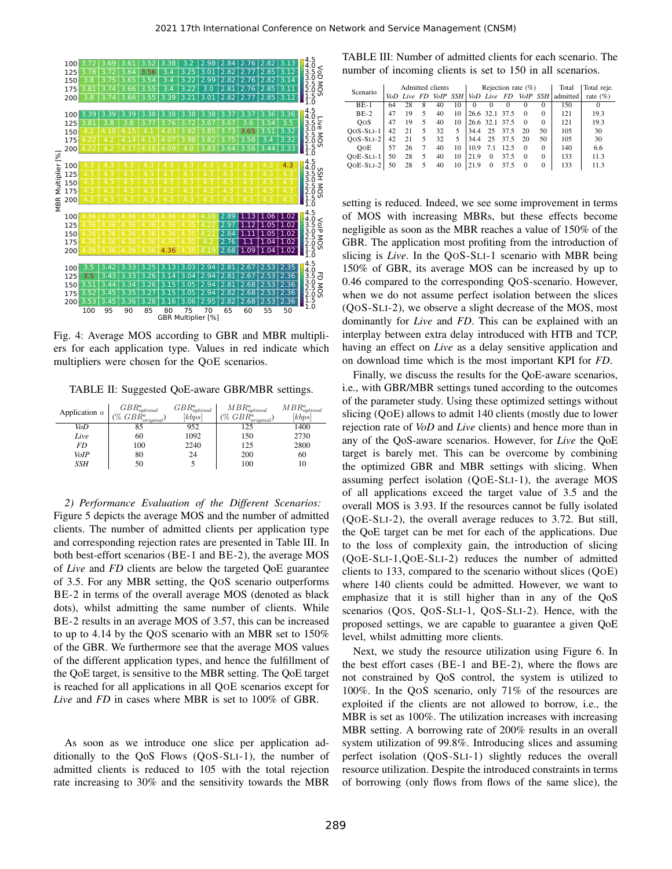

Fig. 4: Average MOS according to GBR and MBR multipliers for each application type. Values in red indicate which multipliers were chosen for the QOE scenarios.

TABLE II: Suggested QoE-aware GBR/MBR settings.

| Application $a$ | $GBR^a_{optimal}$<br>$( \% \; GB\dot{R}^a_{original})$ | ${\cal GBR}^a_{optimal}$<br>[kbps] | $MBR^a_{optimal}$<br>$(\% \ GBR^a_{original})$ | $MBR^a_{optimal}$<br>[kbps] |
|-----------------|--------------------------------------------------------|------------------------------------|------------------------------------------------|-----------------------------|
| VoD             | 85                                                     | 952                                | 125                                            | 1400                        |
| Live            | 60                                                     | 1092                               | 150                                            | 2730                        |
| FD              | 100                                                    | 2240                               | 125                                            | 2800                        |
| VoIP            | 80                                                     | 24                                 | 200                                            | 60                          |
| SSH             | 50                                                     |                                    | 100                                            | 10                          |

*2) Performance Evaluation of the Different Scenarios:* Figure 5 depicts the average MOS and the number of admitted clients. The number of admitted clients per application type and corresponding rejection rates are presented in Table III. In both best-effort scenarios (BE-1 and BE-2), the average MOS of *Live* and *FD* clients are below the targeted QoE guarantee of 3.5. For any MBR setting, the QOS scenario outperforms BE-2 in terms of the overall average MOS (denoted as black dots), whilst admitting the same number of clients. While BE-2 results in an average MOS of 3.57, this can be increased to up to 4.14 by the QOS scenario with an MBR set to 150% of the GBR. We furthermore see that the average MOS values of the different application types, and hence the fulfillment of the QoE target, is sensitive to the MBR setting. The QoE target is reached for all applications in all QOE scenarios except for *Live* and *FD* in cases where MBR is set to 100% of GBR.

As soon as we introduce one slice per application additionally to the QoS Flows (QOS-SLI-1), the number of admitted clients is reduced to 105 with the total rejection rate increasing to 30% and the sensitivity towards the MBR

TABLE III: Number of admitted clients for each scenario. The number of incoming clients is set to 150 in all scenarios.

| Admitted clients |   |             | Rejection rate $(\%)$ |          |          |          | Total                                                         | Total reje. |          |              |
|------------------|---|-------------|-----------------------|----------|----------|----------|---------------------------------------------------------------|-------------|----------|--------------|
|                  |   |             |                       |          |          |          |                                                               |             | admitted | rate $(\% )$ |
| 28               | 8 | 40          | 10                    | $\theta$ | $\Omega$ | $\Omega$ | $\theta$                                                      | 0           | 150      | $\Omega$     |
| 19               | 5 | 40          | 10                    |          |          |          | $\Omega$                                                      | 0           | 121      | 19.3         |
| 19               | 5 | 40          | 10                    |          |          |          | $\Omega$                                                      | 0           | 121      | 19.3         |
| 21               | 5 | 32          | 5                     | 34.4     |          |          | 20                                                            | 50          | 105      | 30           |
| 21               | 5 | 32          | 5                     | 34.4     | 25       | 37.5     | 20                                                            | 50          | 105      | 30           |
| 26               | 7 | 40          | 10                    | 10.9     | 7.1      | 12.5     | $\Omega$                                                      | 0           | 140      | 6.6          |
| 28               | 5 | 40          | 10                    | 21.9     | 0        | 37.5     | $\Omega$                                                      | 0           | 133      | 11.3         |
| 28               | 5 | 40          | 10                    | 21.9     | 0        | 37.5     | $\Omega$                                                      | 0           | 133      | 11.3         |
|                  |   | VoD Live FD |                       |          | VoIP SSH |          | VoD Live FD<br>26.6 32.1 37.5<br>26.6 32.1 37.5<br>37.5<br>25 |             |          | VoIP SSH     |

setting is reduced. Indeed, we see some improvement in terms of MOS with increasing MBRs, but these effects become negligible as soon as the MBR reaches a value of 150% of the GBR. The application most profiting from the introduction of slicing is *Live*. In the QOS-SLI-1 scenario with MBR being 150% of GBR, its average MOS can be increased by up to 0.46 compared to the corresponding QOS-scenario. However, when we do not assume perfect isolation between the slices (QOS-SLI-2), we observe a slight decrease of the MOS, most dominantly for *Live* and *FD*. This can be explained with an interplay between extra delay introduced with HTB and TCP, having an effect on *Live* as a delay sensitive application and on download time which is the most important KPI for *FD*.

Finally, we discuss the results for the QoE-aware scenarios, i.e., with GBR/MBR settings tuned according to the outcomes of the parameter study. Using these optimized settings without slicing (QOE) allows to admit 140 clients (mostly due to lower rejection rate of *VoD* and *Live* clients) and hence more than in any of the QoS-aware scenarios. However, for *Live* the QoE target is barely met. This can be overcome by combining the optimized GBR and MBR settings with slicing. When assuming perfect isolation (QOE-SLI-1), the average MOS of all applications exceed the target value of 3.5 and the overall MOS is 3.93. If the resources cannot be fully isolated (QOE-SLI-2), the overall average reduces to 3.72. But still, the QoE target can be met for each of the applications. Due to the loss of complexity gain, the introduction of slicing (QOE-SLI-1,QOE-SLI-2) reduces the number of admitted clients to 133, compared to the scenario without slices (QOE) where 140 clients could be admitted. However, we want to emphasize that it is still higher than in any of the QoS scenarios (QOS, QOS-SLI-1, QOS-SLI-2). Hence, with the proposed settings, we are capable to guarantee a given QoE level, whilst admitting more clients.

Next, we study the resource utilization using Figure 6. In the best effort cases (BE-1 and BE-2), where the flows are not constrained by QoS control, the system is utilized to 100%. In the QOS scenario, only 71% of the resources are exploited if the clients are not allowed to borrow, i.e., the MBR is set as 100%. The utilization increases with increasing MBR setting. A borrowing rate of 200% results in an overall system utilization of 99.8%. Introducing slices and assuming perfect isolation (QOS-SLI-1) slightly reduces the overall resource utilization. Despite the introduced constraints in terms of borrowing (only flows from flows of the same slice), the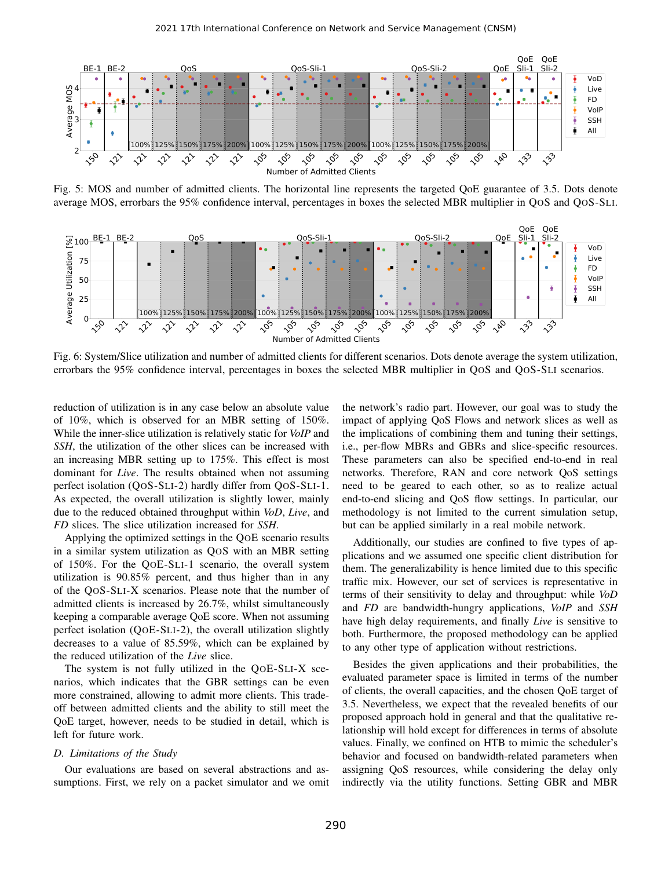

Fig. 5: MOS and number of admitted clients. The horizontal line represents the targeted QoE guarantee of 3.5. Dots denote average MOS, errorbars the 95% confidence interval, percentages in boxes the selected MBR multiplier in QOS and QOS-SLI.



Fig. 6: System/Slice utilization and number of admitted clients for different scenarios. Dots denote average the system utilization, errorbars the 95% confidence interval, percentages in boxes the selected MBR multiplier in QOS and QOS-SLI scenarios.

reduction of utilization is in any case below an absolute value of 10%, which is observed for an MBR setting of 150%. While the inner-slice utilization is relatively static for *VoIP* and *SSH*, the utilization of the other slices can be increased with an increasing MBR setting up to 175%. This effect is most dominant for *Live*. The results obtained when not assuming perfect isolation (QOS-SLI-2) hardly differ from QOS-SLI-1. As expected, the overall utilization is slightly lower, mainly due to the reduced obtained throughput within *VoD*, *Live*, and *FD* slices. The slice utilization increased for *SSH*.

Applying the optimized settings in the QOE scenario results in a similar system utilization as QOS with an MBR setting of 150%. For the QOE-SLI-1 scenario, the overall system utilization is 90.85% percent, and thus higher than in any of the QOS-SLI-X scenarios. Please note that the number of admitted clients is increased by 26.7%, whilst simultaneously keeping a comparable average QoE score. When not assuming perfect isolation (QOE-SLI-2), the overall utilization slightly decreases to a value of 85.59%, which can be explained by the reduced utilization of the *Live* slice.

The system is not fully utilized in the QOE-SLI-X scenarios, which indicates that the GBR settings can be even more constrained, allowing to admit more clients. This tradeoff between admitted clients and the ability to still meet the QoE target, however, needs to be studied in detail, which is left for future work.

#### *D. Limitations of the Study*

Our evaluations are based on several abstractions and assumptions. First, we rely on a packet simulator and we omit the network's radio part. However, our goal was to study the impact of applying QoS Flows and network slices as well as the implications of combining them and tuning their settings, i.e., per-flow MBRs and GBRs and slice-specific resources. These parameters can also be specified end-to-end in real networks. Therefore, RAN and core network QoS settings need to be geared to each other, so as to realize actual end-to-end slicing and QoS flow settings. In particular, our methodology is not limited to the current simulation setup, but can be applied similarly in a real mobile network.

Additionally, our studies are confined to five types of applications and we assumed one specific client distribution for them. The generalizability is hence limited due to this specific traffic mix. However, our set of services is representative in terms of their sensitivity to delay and throughput: while *VoD* and *FD* are bandwidth-hungry applications, *VoIP* and *SSH* have high delay requirements, and finally *Live* is sensitive to both. Furthermore, the proposed methodology can be applied to any other type of application without restrictions.

Besides the given applications and their probabilities, the evaluated parameter space is limited in terms of the number of clients, the overall capacities, and the chosen QoE target of 3.5. Nevertheless, we expect that the revealed benefits of our proposed approach hold in general and that the qualitative relationship will hold except for differences in terms of absolute values. Finally, we confined on HTB to mimic the scheduler's behavior and focused on bandwidth-related parameters when assigning QoS resources, while considering the delay only indirectly via the utility functions. Setting GBR and MBR